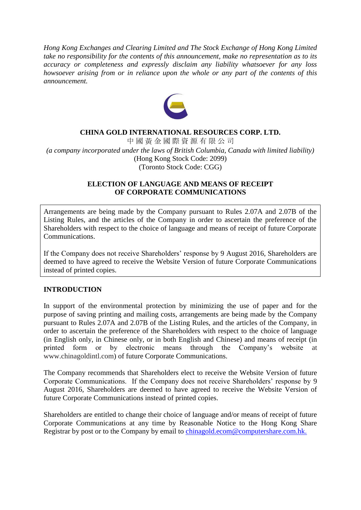*Hong Kong Exchanges and Clearing Limited and The Stock Exchange of Hong Kong Limited take no responsibility for the contents of this announcement, make no representation as to its accuracy or completeness and expressly disclaim any liability whatsoever for any loss howsoever arising from or in reliance upon the whole or any part of the contents of this announcement.*



### **CHINA GOLD INTERNATIONAL RESOURCES CORP. LTD.**

中 國 黃 金 國 際 資 源 有 限 公 司 *(a company incorporated under the laws of British Columbia, Canada with limited liability)* (Hong Kong Stock Code: 2099) (Toronto Stock Code: CGG)

#### **ELECTION OF LANGUAGE AND MEANS OF RECEIPT OF CORPORATE COMMUNICATIONS**

Arrangements are being made by the Company pursuant to Rules 2.07A and 2.07B of the Listing Rules, and the articles of the Company in order to ascertain the preference of the Shareholders with respect to the choice of language and means of receipt of future Corporate Communications.

If the Company does not receive Shareholders' response by 9 August 2016, Shareholders are deemed to have agreed to receive the Website Version of future Corporate Communications instead of printed copies.

#### **INTRODUCTION**

In support of the environmental protection by minimizing the use of paper and for the purpose of saving printing and mailing costs, arrangements are being made by the Company pursuant to Rules 2.07A and 2.07B of the Listing Rules, and the articles of the Company, in order to ascertain the preference of the Shareholders with respect to the choice of language (in English only, in Chinese only, or in both English and Chinese) and means of receipt (in printed form or by electronic means through the Company's website at [www.chinagoldintl.com\)](http://www.chinagoldintl.com/) of future Corporate Communications.

The Company recommends that Shareholders elect to receive the Website Version of future Corporate Communications. If the Company does not receive Shareholders' response by 9 August 2016, Shareholders are deemed to have agreed to receive the Website Version of future Corporate Communications instead of printed copies.

Shareholders are entitled to change their choice of language and/or means of receipt of future Corporate Communications at any time by Reasonable Notice to the Hong Kong Share Registrar by post or to the Company by email to [chinagold.ecom@computershare.com.hk.](mailto:____@computershare.com.hk)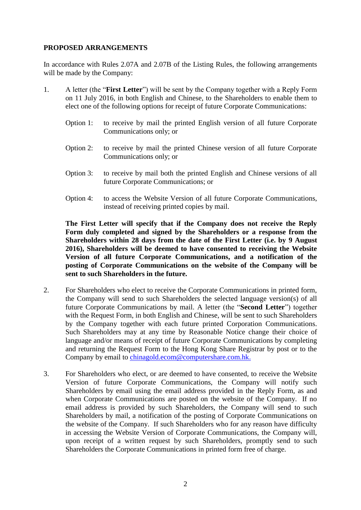## **PROPOSED ARRANGEMENTS**

In accordance with Rules 2.07A and 2.07B of the Listing Rules, the following arrangements will be made by the Company:

- 1. A letter (the "**First Letter**") will be sent by the Company together with a Reply Form on 11 July 2016, in both English and Chinese, to the Shareholders to enable them to elect one of the following options for receipt of future Corporate Communications:
	- Option 1: to receive by mail the printed English version of all future Corporate Communications only; or
	- Option 2: to receive by mail the printed Chinese version of all future Corporate Communications only; or
	- Option 3: to receive by mail both the printed English and Chinese versions of all future Corporate Communications; or
	- Option 4: to access the Website Version of all future Corporate Communications, instead of receiving printed copies by mail.

**The First Letter will specify that if the Company does not receive the Reply Form duly completed and signed by the Shareholders or a response from the Shareholders within 28 days from the date of the First Letter (i.e. by 9 August 2016), Shareholders will be deemed to have consented to receiving the Website Version of all future Corporate Communications, and a notification of the posting of Corporate Communications on the website of the Company will be sent to such Shareholders in the future.**

- 2. For Shareholders who elect to receive the Corporate Communications in printed form, the Company will send to such Shareholders the selected language version(s) of all future Corporate Communications by mail. A letter (the "**Second Letter**") together with the Request Form, in both English and Chinese, will be sent to such Shareholders by the Company together with each future printed Corporation Communications. Such Shareholders may at any time by Reasonable Notice change their choice of language and/or means of receipt of future Corporate Communications by completing and returning the Request Form to the Hong Kong Share Registrar by post or to the Company by email to [chinagold.ecom@computershare.com.hk.](mailto:____@computershare.com.hk)
- 3. For Shareholders who elect, or are deemed to have consented, to receive the Website Version of future Corporate Communications, the Company will notify such Shareholders by email using the email address provided in the Reply Form, as and when Corporate Communications are posted on the website of the Company. If no email address is provided by such Shareholders, the Company will send to such Shareholders by mail, a notification of the posting of Corporate Communications on the website of the Company. If such Shareholders who for any reason have difficulty in accessing the Website Version of Corporate Communications, the Company will, upon receipt of a written request by such Shareholders, promptly send to such Shareholders the Corporate Communications in printed form free of charge.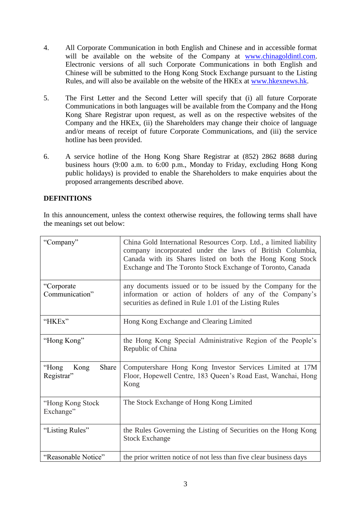- 4. All Corporate Communication in both English and Chinese and in accessible format will be available on the website of the Company at [www.chinagoldintl.com.](http://www.chinagoldintl.com/) Electronic versions of all such Corporate Communications in both English and Chinese will be submitted to the Hong Kong Stock Exchange pursuant to the Listing Rules, and will also be available on the website of the HKEx at [www.hkexnews.hk.](http://www.hkexnews.hk/)
- 5. The First Letter and the Second Letter will specify that (i) all future Corporate Communications in both languages will be available from the Company and the Hong Kong Share Registrar upon request, as well as on the respective websites of the Company and the HKEx, (ii) the Shareholders may change their choice of language and/or means of receipt of future Corporate Communications, and (iii) the service hotline has been provided.
- 6. A service hotline of the Hong Kong Share Registrar at (852) 2862 8688 during business hours (9:00 a.m. to 6:00 p.m., Monday to Friday, excluding Hong Kong public holidays) is provided to enable the Shareholders to make enquiries about the proposed arrangements described above.

# **DEFINITIONS**

In this announcement, unless the context otherwise requires, the following terms shall have the meanings set out below:

| "Company"                            | China Gold International Resources Corp. Ltd., a limited liability<br>company incorporated under the laws of British Columbia,<br>Canada with its Shares listed on both the Hong Kong Stock<br>Exchange and The Toronto Stock Exchange of Toronto, Canada |
|--------------------------------------|-----------------------------------------------------------------------------------------------------------------------------------------------------------------------------------------------------------------------------------------------------------|
| "Corporate"<br>Communication"        | any documents issued or to be issued by the Company for the<br>information or action of holders of any of the Company's<br>securities as defined in Rule 1.01 of the Listing Rules                                                                        |
| "HKEx"                               | Hong Kong Exchange and Clearing Limited                                                                                                                                                                                                                   |
| "Hong Kong"                          | the Hong Kong Special Administrative Region of the People's<br>Republic of China                                                                                                                                                                          |
| "Hong<br>Share<br>Kong<br>Registrar" | Computershare Hong Kong Investor Services Limited at 17M<br>Floor, Hopewell Centre, 183 Queen's Road East, Wanchai, Hong<br>Kong                                                                                                                          |
| "Hong Kong Stock<br>Exchange"        | The Stock Exchange of Hong Kong Limited                                                                                                                                                                                                                   |
| "Listing Rules"                      | the Rules Governing the Listing of Securities on the Hong Kong<br><b>Stock Exchange</b>                                                                                                                                                                   |
| "Reasonable Notice"                  | the prior written notice of not less than five clear business days                                                                                                                                                                                        |